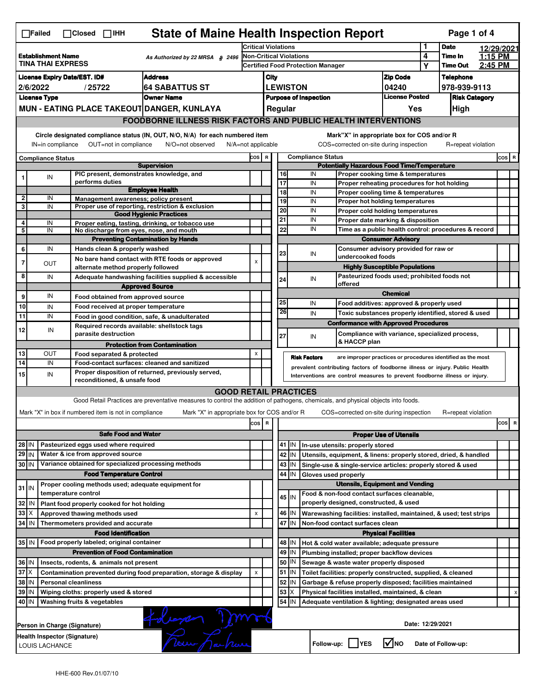|                                                                                            | <b>State of Maine Health Inspection Report</b><br>Page 1 of 4<br>$\Box$ Failed<br>$\Box$ Closed $\Box$ IHH                                                                                                                                                                            |                                                                            |                                                                                                                                   |                                                                                                                                                            |                                                             |                               |                                                                                                                |                                                              |                                                                                       |                                       |                    |                    |            |          |
|--------------------------------------------------------------------------------------------|---------------------------------------------------------------------------------------------------------------------------------------------------------------------------------------------------------------------------------------------------------------------------------------|----------------------------------------------------------------------------|-----------------------------------------------------------------------------------------------------------------------------------|------------------------------------------------------------------------------------------------------------------------------------------------------------|-------------------------------------------------------------|-------------------------------|----------------------------------------------------------------------------------------------------------------|--------------------------------------------------------------|---------------------------------------------------------------------------------------|---------------------------------------|--------------------|--------------------|------------|----------|
|                                                                                            |                                                                                                                                                                                                                                                                                       |                                                                            |                                                                                                                                   | <b>Critical Violations</b>                                                                                                                                 |                                                             |                               |                                                                                                                |                                                              |                                                                                       | 1                                     | <b>Date</b>        |                    | 12/29/2021 |          |
| <b>Establishment Name</b><br>As Authorized by 22 MRSA $$$ 2496<br><b>TINA THAI EXPRESS</b> |                                                                                                                                                                                                                                                                                       |                                                                            | Non-Critical Violations<br><b>Certified Food Protection Manager</b>                                                               |                                                                                                                                                            |                                                             |                               |                                                                                                                |                                                              | 4<br>Υ                                                                                | Time In<br><b>Time Out</b>            | 1:15 PM<br>2:45 PM |                    |            |          |
|                                                                                            | Address                                                                                                                                                                                                                                                                               |                                                                            |                                                                                                                                   |                                                                                                                                                            |                                                             |                               |                                                                                                                |                                                              |                                                                                       | <b>Zip Code</b>                       |                    | <b>Telephone</b>   |            |          |
| <b>License Expiry Date/EST. ID#</b><br><b>64 SABATTUS ST</b><br>2/6/2022<br>/25722         |                                                                                                                                                                                                                                                                                       |                                                                            |                                                                                                                                   |                                                                                                                                                            | City<br><b>LEWISTON</b>                                     |                               |                                                                                                                | 04240                                                        |                                                                                       | 978-939-9113                          |                    |                    |            |          |
|                                                                                            | <b>License Type</b>                                                                                                                                                                                                                                                                   |                                                                            | <b>Owner Name</b>                                                                                                                 |                                                                                                                                                            | <b>Purpose of Inspection</b>                                |                               |                                                                                                                | <b>License Posted</b>                                        |                                                                                       | <b>Risk Category</b>                  |                    |                    |            |          |
|                                                                                            |                                                                                                                                                                                                                                                                                       | MUN - EATING PLACE TAKEOUT DANGER, KUNLAYA                                 |                                                                                                                                   |                                                                                                                                                            |                                                             |                               | Regular                                                                                                        |                                                              |                                                                                       | Yes                                   |                    | High               |            |          |
|                                                                                            |                                                                                                                                                                                                                                                                                       |                                                                            | <b>FOODBORNE ILLNESS RISK FACTORS AND PUBLIC HEALTH INTERVENTIONS</b>                                                             |                                                                                                                                                            |                                                             |                               |                                                                                                                |                                                              |                                                                                       |                                       |                    |                    |            |          |
|                                                                                            | Circle designated compliance status (IN, OUT, N/O, N/A) for each numbered item<br>Mark"X" in appropriate box for COS and/or R<br>IN=in compliance<br>OUT=not in compliance<br>N/A=not applicable<br>COS=corrected on-site during inspection<br>R=repeat violation<br>N/O=not observed |                                                                            |                                                                                                                                   |                                                                                                                                                            |                                                             |                               |                                                                                                                |                                                              |                                                                                       |                                       |                    |                    |            |          |
|                                                                                            | <b>Compliance Status</b>                                                                                                                                                                                                                                                              |                                                                            |                                                                                                                                   |                                                                                                                                                            |                                                             |                               |                                                                                                                | <b>Compliance Status</b>                                     |                                                                                       |                                       |                    |                    |            | COS R    |
|                                                                                            |                                                                                                                                                                                                                                                                                       |                                                                            | <b>Supervision</b>                                                                                                                |                                                                                                                                                            | COS R<br><b>Potentially Hazardous Food Time/Temperature</b> |                               |                                                                                                                |                                                              |                                                                                       |                                       |                    |                    |            |          |
|                                                                                            | IN                                                                                                                                                                                                                                                                                    | PIC present, demonstrates knowledge, and                                   |                                                                                                                                   |                                                                                                                                                            |                                                             |                               | 16                                                                                                             | IN                                                           | Proper cooking time & temperatures                                                    |                                       |                    |                    |            |          |
|                                                                                            |                                                                                                                                                                                                                                                                                       | performs duties                                                            | <b>Employee Health</b>                                                                                                            |                                                                                                                                                            |                                                             |                               | $\overline{17}$<br>18                                                                                          | IN<br>IN                                                     | Proper reheating procedures for hot holding<br>Proper cooling time & temperatures     |                                       |                    |                    |            |          |
| $\overline{2}$                                                                             | IN                                                                                                                                                                                                                                                                                    | Management awareness; policy present                                       |                                                                                                                                   |                                                                                                                                                            |                                                             |                               | 19                                                                                                             | IN                                                           | Proper hot holding temperatures                                                       |                                       |                    |                    |            |          |
| 3                                                                                          | IN                                                                                                                                                                                                                                                                                    |                                                                            | Proper use of reporting, restriction & exclusion<br><b>Good Hygienic Practices</b>                                                |                                                                                                                                                            |                                                             |                               | 20                                                                                                             | IN                                                           | Proper cold holding temperatures                                                      |                                       |                    |                    |            |          |
| 4                                                                                          | IN                                                                                                                                                                                                                                                                                    |                                                                            | Proper eating, tasting, drinking, or tobacco use                                                                                  |                                                                                                                                                            |                                                             |                               | 21                                                                                                             | IN                                                           | Proper date marking & disposition                                                     |                                       |                    |                    |            |          |
| 5                                                                                          | IN                                                                                                                                                                                                                                                                                    | No discharge from eyes, nose, and mouth                                    |                                                                                                                                   |                                                                                                                                                            |                                                             |                               | 22                                                                                                             | IN                                                           | Time as a public health control: procedures & record                                  |                                       |                    |                    |            |          |
|                                                                                            |                                                                                                                                                                                                                                                                                       |                                                                            | <b>Preventing Contamination by Hands</b>                                                                                          |                                                                                                                                                            |                                                             |                               |                                                                                                                |                                                              |                                                                                       | <b>Consumer Advisory</b>              |                    |                    |            |          |
| 6                                                                                          | IN                                                                                                                                                                                                                                                                                    | Hands clean & properly washed                                              |                                                                                                                                   |                                                                                                                                                            |                                                             |                               | 23                                                                                                             | IN                                                           | Consumer advisory provided for raw or<br>undercooked foods                            |                                       |                    |                    |            |          |
| 7                                                                                          | OUT                                                                                                                                                                                                                                                                                   | alternate method properly followed                                         | No bare hand contact with RTE foods or approved                                                                                   | $\boldsymbol{\mathsf{x}}$                                                                                                                                  |                                                             |                               |                                                                                                                |                                                              |                                                                                       | <b>Highly Susceptible Populations</b> |                    |                    |            |          |
| 8                                                                                          | IN                                                                                                                                                                                                                                                                                    |                                                                            | Adequate handwashing facilities supplied & accessible                                                                             |                                                                                                                                                            |                                                             |                               |                                                                                                                |                                                              | Pasteurized foods used; prohibited foods not                                          |                                       |                    |                    |            |          |
|                                                                                            |                                                                                                                                                                                                                                                                                       |                                                                            | <b>Approved Source</b>                                                                                                            |                                                                                                                                                            |                                                             |                               | 24                                                                                                             | IN                                                           | offered                                                                               |                                       |                    |                    |            |          |
| 9                                                                                          | IN                                                                                                                                                                                                                                                                                    | Food obtained from approved source                                         |                                                                                                                                   |                                                                                                                                                            |                                                             |                               |                                                                                                                |                                                              |                                                                                       | <b>Chemical</b>                       |                    |                    |            |          |
| 10                                                                                         | IN                                                                                                                                                                                                                                                                                    | Food received at proper temperature                                        |                                                                                                                                   |                                                                                                                                                            |                                                             |                               | 25                                                                                                             | IN                                                           | Food additives: approved & properly used                                              |                                       |                    |                    |            |          |
| 11                                                                                         | IN                                                                                                                                                                                                                                                                                    | Food in good condition, safe, & unadulterated                              |                                                                                                                                   |                                                                                                                                                            |                                                             |                               | 26                                                                                                             | IN                                                           | Toxic substances properly identified, stored & used                                   |                                       |                    |                    |            |          |
| 12                                                                                         | IN                                                                                                                                                                                                                                                                                    | Required records available: shellstock tags                                |                                                                                                                                   |                                                                                                                                                            |                                                             |                               |                                                                                                                |                                                              | <b>Conformance with Approved Procedures</b>                                           |                                       |                    |                    |            |          |
|                                                                                            |                                                                                                                                                                                                                                                                                       | parasite destruction                                                       |                                                                                                                                   |                                                                                                                                                            |                                                             |                               | 27                                                                                                             | IN                                                           | Compliance with variance, specialized process,<br>& HACCP plan                        |                                       |                    |                    |            |          |
| 13                                                                                         | OUT                                                                                                                                                                                                                                                                                   |                                                                            | <b>Protection from Contamination</b>                                                                                              | X                                                                                                                                                          |                                                             |                               |                                                                                                                |                                                              |                                                                                       |                                       |                    |                    |            |          |
| 14                                                                                         | IN                                                                                                                                                                                                                                                                                    | Food separated & protected<br>Food-contact surfaces: cleaned and sanitized |                                                                                                                                   |                                                                                                                                                            |                                                             |                               |                                                                                                                | <b>Risk Factors</b>                                          | are improper practices or procedures identified as the most                           |                                       |                    |                    |            |          |
| 15                                                                                         | IN                                                                                                                                                                                                                                                                                    |                                                                            | Proper disposition of returned, previously served,                                                                                | prevalent contributing factors of foodborne illness or injury. Public Health<br>Interventions are control measures to prevent foodborne illness or injury. |                                                             |                               |                                                                                                                |                                                              |                                                                                       |                                       |                    |                    |            |          |
|                                                                                            |                                                                                                                                                                                                                                                                                       | reconditioned, & unsafe food                                               |                                                                                                                                   |                                                                                                                                                            |                                                             |                               |                                                                                                                |                                                              |                                                                                       |                                       |                    |                    |            |          |
|                                                                                            |                                                                                                                                                                                                                                                                                       |                                                                            | <b>GOOD RETAIL PRACTICES</b>                                                                                                      |                                                                                                                                                            |                                                             |                               |                                                                                                                |                                                              |                                                                                       |                                       |                    |                    |            |          |
|                                                                                            |                                                                                                                                                                                                                                                                                       |                                                                            | Good Retail Practices are preventative measures to control the addition of pathogens, chemicals, and physical objects into foods. |                                                                                                                                                            |                                                             |                               |                                                                                                                |                                                              |                                                                                       |                                       |                    |                    |            |          |
|                                                                                            |                                                                                                                                                                                                                                                                                       | Mark "X" in box if numbered item is not in compliance                      | Mark "X" in appropriate box for COS and/or R                                                                                      |                                                                                                                                                            |                                                             |                               |                                                                                                                |                                                              | COS=corrected on-site during inspection                                               |                                       |                    | R=repeat violation |            |          |
|                                                                                            |                                                                                                                                                                                                                                                                                       |                                                                            |                                                                                                                                   | cos                                                                                                                                                        | R                                                           |                               |                                                                                                                |                                                              |                                                                                       |                                       |                    |                    |            | cos<br>R |
|                                                                                            | <b>Safe Food and Water</b>                                                                                                                                                                                                                                                            |                                                                            |                                                                                                                                   |                                                                                                                                                            |                                                             | <b>Proper Use of Utensils</b> |                                                                                                                |                                                              |                                                                                       |                                       |                    |                    |            |          |
| 28 IN                                                                                      |                                                                                                                                                                                                                                                                                       | Pasteurized eggs used where required                                       |                                                                                                                                   |                                                                                                                                                            |                                                             |                               | 41   IN                                                                                                        |                                                              | In-use utensils: properly stored                                                      |                                       |                    |                    |            |          |
| $29$ IN                                                                                    |                                                                                                                                                                                                                                                                                       | Water & ice from approved source                                           |                                                                                                                                   |                                                                                                                                                            |                                                             |                               | 42 IN                                                                                                          |                                                              | Utensils, equipment, & linens: properly stored, dried, & handled                      |                                       |                    |                    |            |          |
| 30 IN                                                                                      |                                                                                                                                                                                                                                                                                       | Variance obtained for specialized processing methods                       |                                                                                                                                   |                                                                                                                                                            |                                                             |                               | $43$   IN                                                                                                      |                                                              | Single-use & single-service articles: properly stored & used                          |                                       |                    |                    |            |          |
|                                                                                            |                                                                                                                                                                                                                                                                                       | <b>Food Temperature Control</b>                                            |                                                                                                                                   |                                                                                                                                                            |                                                             |                               | 44<br>IN                                                                                                       | Gloves used properly                                         |                                                                                       |                                       |                    |                    |            |          |
| $31$ IN                                                                                    |                                                                                                                                                                                                                                                                                       | Proper cooling methods used; adequate equipment for<br>temperature control |                                                                                                                                   |                                                                                                                                                            |                                                             |                               |                                                                                                                |                                                              | <b>Utensils, Equipment and Vending</b><br>Food & non-food contact surfaces cleanable, |                                       |                    |                    |            |          |
| 32                                                                                         | IN                                                                                                                                                                                                                                                                                    | Plant food properly cooked for hot holding                                 |                                                                                                                                   |                                                                                                                                                            |                                                             |                               | 45 IN                                                                                                          |                                                              | properly designed, constructed, & used                                                |                                       |                    |                    |            |          |
| $33 \times$                                                                                |                                                                                                                                                                                                                                                                                       | Approved thawing methods used                                              |                                                                                                                                   | X                                                                                                                                                          |                                                             |                               | 46   IN                                                                                                        |                                                              |                                                                                       |                                       |                    |                    |            |          |
| 34 IN                                                                                      |                                                                                                                                                                                                                                                                                       | Thermometers provided and accurate                                         |                                                                                                                                   |                                                                                                                                                            |                                                             |                               | Warewashing facilities: installed, maintained, & used; test strips<br>47 IN<br>Non-food contact surfaces clean |                                                              |                                                                                       |                                       |                    |                    |            |          |
|                                                                                            |                                                                                                                                                                                                                                                                                       | <b>Food Identification</b>                                                 |                                                                                                                                   |                                                                                                                                                            |                                                             |                               |                                                                                                                |                                                              |                                                                                       | <b>Physical Facilities</b>            |                    |                    |            |          |
|                                                                                            | 35 IN   Food properly labeled; original container                                                                                                                                                                                                                                     |                                                                            |                                                                                                                                   |                                                                                                                                                            |                                                             |                               | 48   IN                                                                                                        |                                                              | Hot & cold water available; adequate pressure                                         |                                       |                    |                    |            |          |
|                                                                                            | <b>Prevention of Food Contamination</b>                                                                                                                                                                                                                                               |                                                                            |                                                                                                                                   |                                                                                                                                                            |                                                             |                               | $49$ IN<br>Plumbing installed; proper backflow devices                                                         |                                                              |                                                                                       |                                       |                    |                    |            |          |
| 36 IN                                                                                      |                                                                                                                                                                                                                                                                                       | Insects, rodents, & animals not present                                    |                                                                                                                                   |                                                                                                                                                            |                                                             |                               | 50   IN                                                                                                        |                                                              | Sewage & waste water properly disposed                                                |                                       |                    |                    |            |          |
| 37<br>IΧ<br>Contamination prevented during food preparation, storage & display             |                                                                                                                                                                                                                                                                                       |                                                                            | X                                                                                                                                 |                                                                                                                                                            |                                                             | 51<br>ΙW                      |                                                                                                                | Toilet facilities: properly constructed, supplied, & cleaned |                                                                                       |                                       |                    |                    |            |          |
| 38 IN<br><b>Personal cleanliness</b>                                                       |                                                                                                                                                                                                                                                                                       |                                                                            |                                                                                                                                   |                                                                                                                                                            |                                                             | 52<br>IN                      |                                                                                                                | Garbage & refuse properly disposed; facilities maintained    |                                                                                       |                                       |                    |                    |            |          |
| 39 IN                                                                                      |                                                                                                                                                                                                                                                                                       | Wiping cloths: properly used & stored                                      |                                                                                                                                   |                                                                                                                                                            |                                                             |                               | 53<br>ΙX                                                                                                       |                                                              | Physical facilities installed, maintained, & clean                                    |                                       |                    |                    |            |          |
| 40   IN                                                                                    |                                                                                                                                                                                                                                                                                       | Washing fruits & vegetables                                                |                                                                                                                                   |                                                                                                                                                            |                                                             |                               | 54   IN                                                                                                        |                                                              | Adequate ventilation & lighting; designated areas used                                |                                       |                    |                    |            |          |
|                                                                                            |                                                                                                                                                                                                                                                                                       | Person in Charge (Signature)                                               | dearen mort                                                                                                                       |                                                                                                                                                            |                                                             |                               |                                                                                                                |                                                              |                                                                                       | Date: 12/29/2021                      |                    |                    |            |          |
|                                                                                            | LOUIS LACHANCE                                                                                                                                                                                                                                                                        | Health Inspector (Signature)                                               |                                                                                                                                   |                                                                                                                                                            |                                                             |                               |                                                                                                                | Follow-up:                                                   | <b>IYES</b>                                                                           | l√Ino                                 |                    | Date of Follow-up: |            |          |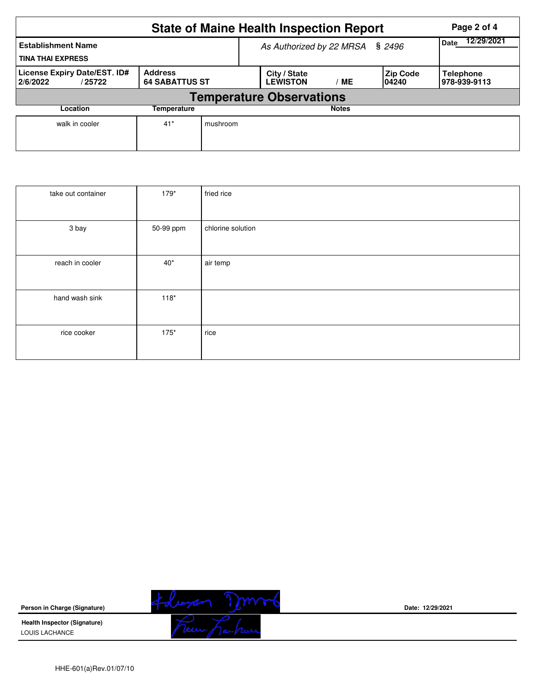|                                                       | <b>State of Maine Health Inspection Report</b> | Page 2 of 4                     |                                         |              |                           |                                  |  |  |  |  |  |
|-------------------------------------------------------|------------------------------------------------|---------------------------------|-----------------------------------------|--------------|---------------------------|----------------------------------|--|--|--|--|--|
| <b>Establishment Name</b><br><b>TINA THAI EXPRESS</b> |                                                | As Authorized by 22 MRSA § 2496 | 12/29/2021<br><b>Date</b>               |              |                           |                                  |  |  |  |  |  |
| License Expiry Date/EST. ID#<br>2/6/2022<br>/25722    | <b>Address</b><br><b>64 SABATTUS ST</b>        |                                 | City / State<br><b>LEWISTON</b><br>' ME |              | <b>Zip Code</b><br>104240 | <b>Telephone</b><br>978-939-9113 |  |  |  |  |  |
| <b>Temperature Observations</b>                       |                                                |                                 |                                         |              |                           |                                  |  |  |  |  |  |
| Location<br>Temperature                               |                                                |                                 |                                         | <b>Notes</b> |                           |                                  |  |  |  |  |  |
| walk in cooler                                        | $41*$                                          | mushroom                        |                                         |              |                           |                                  |  |  |  |  |  |

| take out container | $179*$       | fried rice        |
|--------------------|--------------|-------------------|
| 3 bay              | 50-99 ppm    | chlorine solution |
| reach in cooler    | $40^{\star}$ | air temp          |
| hand wash sink     | $118*$       |                   |
| rice cooker        | $175*$       | rice              |

**Person in Charge (Signature)**

**Health Inspector (Signature)**  LOUIS LACHANCE



**Date: 12/29/2021**

HHE-601(a)Rev.01/07/10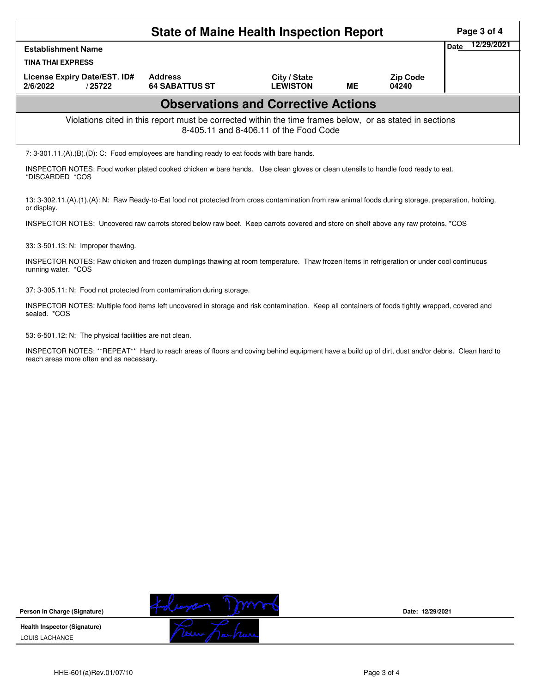|                                                                                                                                                    | Page 3 of 4                             |                                 |    |                          |      |            |  |  |  |  |
|----------------------------------------------------------------------------------------------------------------------------------------------------|-----------------------------------------|---------------------------------|----|--------------------------|------|------------|--|--|--|--|
| <b>Establishment Name</b>                                                                                                                          |                                         |                                 |    |                          | Date | 12/29/2021 |  |  |  |  |
| <b>TINA THAI EXPRESS</b>                                                                                                                           |                                         |                                 |    |                          |      |            |  |  |  |  |
| License Expiry Date/EST. ID#<br>2/6/2022<br>/25722                                                                                                 | <b>Address</b><br><b>64 SABATTUS ST</b> | City / State<br><b>LEWISTON</b> | ME | <b>Zip Code</b><br>04240 |      |            |  |  |  |  |
| <b>Observations and Corrective Actions</b>                                                                                                         |                                         |                                 |    |                          |      |            |  |  |  |  |
| Violations cited in this report must be corrected within the time frames below, or as stated in sections<br>8-405.11 and 8-406.11 of the Food Code |                                         |                                 |    |                          |      |            |  |  |  |  |
| 7: $3-301.11(A)(B)(D)$ : C: Food employees are handling ready to eat foods with bare hands.                                                        |                                         |                                 |    |                          |      |            |  |  |  |  |

INSPECTOR NOTES: Food worker plated cooked chicken w bare hands. Use clean gloves or clean utensils to handle food ready to eat. \*DISCARDED \*COS

13: 3-302.11.(A).(1).(A): N: Raw Ready-to-Eat food not protected from cross contamination from raw animal foods during storage, preparation, holding, or display.

INSPECTOR NOTES: Uncovered raw carrots stored below raw beef. Keep carrots covered and store on shelf above any raw proteins. \*COS

33: 3-501.13: N: Improper thawing.

INSPECTOR NOTES: Raw chicken and frozen dumplings thawing at room temperature. Thaw frozen items in refrigeration or under cool continuous running water. \*COS

37: 3-305.11: N: Food not protected from contamination during storage.

INSPECTOR NOTES: Multiple food items left uncovered in storage and risk contamination. Keep all containers of foods tightly wrapped, covered and sealed. \*COS

53: 6-501.12: N: The physical facilities are not clean.

INSPECTOR NOTES: \*\*REPEAT\*\* Hard to reach areas of floors and coving behind equipment have a build up of dirt, dust and/or debris. Clean hard to reach areas more often and as necessary.



**Date: 12/29/2021**